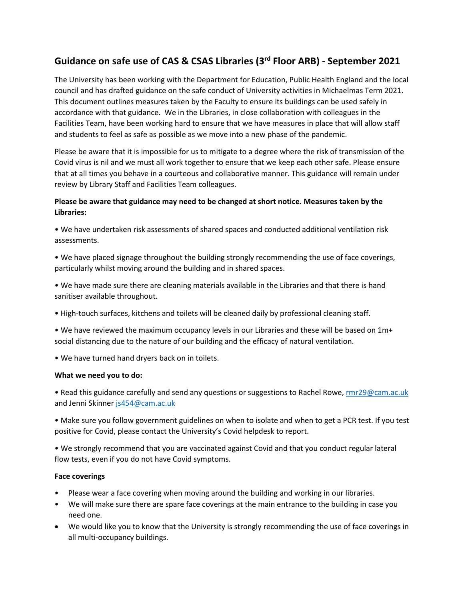# **Guidance on safe use of CAS & CSAS Libraries (3rd Floor ARB) - September 2021**

The University has been working with the Department for Education, Public Health England and the local council and has drafted guidance on the safe conduct of University activities in Michaelmas Term 2021. This document outlines measures taken by the Faculty to ensure its buildings can be used safely in accordance with that guidance. We in the Libraries, in close collaboration with colleagues in the Facilities Team, have been working hard to ensure that we have measures in place that will allow staff and students to feel as safe as possible as we move into a new phase of the pandemic.

Please be aware that it is impossible for us to mitigate to a degree where the risk of transmission of the Covid virus is nil and we must all work together to ensure that we keep each other safe. Please ensure that at all times you behave in a courteous and collaborative manner. This guidance will remain under review by Library Staff and Facilities Team colleagues.

## **Please be aware that guidance may need to be changed at short notice. Measures taken by the Libraries:**

• We have undertaken risk assessments of shared spaces and conducted additional ventilation risk assessments.

- We have placed signage throughout the building strongly recommending the use of face coverings, particularly whilst moving around the building and in shared spaces.
- We have made sure there are cleaning materials available in the Libraries and that there is hand sanitiser available throughout.
- High-touch surfaces, kitchens and toilets will be cleaned daily by professional cleaning staff.

• We have reviewed the maximum occupancy levels in our Libraries and these will be based on 1m+ social distancing due to the nature of our building and the efficacy of natural ventilation.

• We have turned hand dryers back on in toilets.

#### **What we need you to do:**

• Read this guidance carefully and send any questions or suggestions to Rachel Rowe[, rmr29@cam.ac.uk](mailto:rmr29@cam.ac.uk) and Jenni Skinner [js454@cam.ac.uk](mailto:js454@cam.ac.uk)

• Make sure you follow government guidelines on when to isolate and when to get a PCR test. If you test positive for Covid, please contact the University's Covid helpdesk to report.

• We strongly recommend that you are vaccinated against Covid and that you conduct regular lateral flow tests, even if you do not have Covid symptoms.

#### **Face coverings**

- Please wear a face covering when moving around the building and working in our libraries.
- We will make sure there are spare face coverings at the main entrance to the building in case you need one.
- We would like you to know that the University is strongly recommending the use of face coverings in all multi-occupancy buildings.